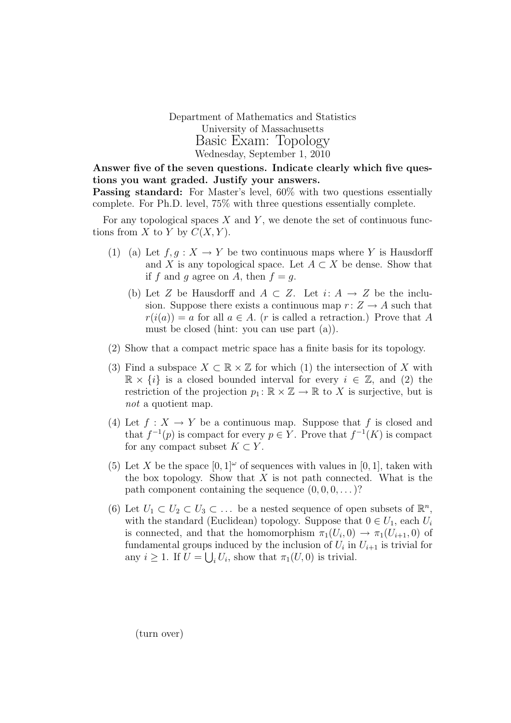Department of Mathematics and Statistics University of Massachusetts Basic Exam: Topology Wednesday, September 1, 2010

Answer five of the seven questions. Indicate clearly which five questions you want graded. Justify your answers. Passing standard: For Master's level, 60% with two questions essentially complete. For Ph.D. level, 75% with three questions essentially complete.

For any topological spaces  $X$  and  $Y$ , we denote the set of continuous functions from X to Y by  $C(X, Y)$ .

- (1) (a) Let  $f, g: X \to Y$  be two continuous maps where Y is Hausdorff and X is any topological space. Let  $A \subset X$  be dense. Show that if f and g agree on A, then  $f = g$ .
	- (b) Let Z be Hausdorff and  $A \subset Z$ . Let  $i: A \rightarrow Z$  be the inclusion. Suppose there exists a continuous map  $r: Z \rightarrow A$  such that  $r(i(a)) = a$  for all  $a \in A$ . (*r* is called a retraction.) Prove that A must be closed (hint: you can use part (a)).
- (2) Show that a compact metric space has a finite basis for its topology.
- (3) Find a subspace  $X \subset \mathbb{R} \times \mathbb{Z}$  for which (1) the intersection of X with  $\mathbb{R} \times \{i\}$  is a closed bounded interval for every  $i \in \mathbb{Z}$ , and (2) the restriction of the projection  $p_1: \mathbb{R} \times \mathbb{Z} \to \mathbb{R}$  to X is surjective, but is not a quotient map.
- (4) Let  $f: X \to Y$  be a continuous map. Suppose that f is closed and that  $f^{-1}(p)$  is compact for every  $p \in Y$ . Prove that  $f^{-1}(K)$  is compact for any compact subset  $K \subset Y$ .
- (5) Let X be the space  $[0,1]^\omega$  of sequences with values in [0, 1], taken with the box topology. Show that  $X$  is not path connected. What is the path component containing the sequence  $(0, 0, 0, \dots)$ ?
- (6) Let  $U_1 \subset U_2 \subset U_3 \subset \ldots$  be a nested sequence of open subsets of  $\mathbb{R}^n$ , with the standard (Euclidean) topology. Suppose that  $0 \in U_1$ , each  $U_i$ is connected, and that the homomorphism  $\pi_1(U_i,0) \to \pi_1(U_{i+1},0)$  of fundamental groups induced by the inclusion of  $U_i$  in  $U_{i+1}$  is trivial for any  $i \geq 1$ . If  $U = \bigcup_i U_i$ , show that  $\pi_1(U, 0)$  is trivial.

(turn over)